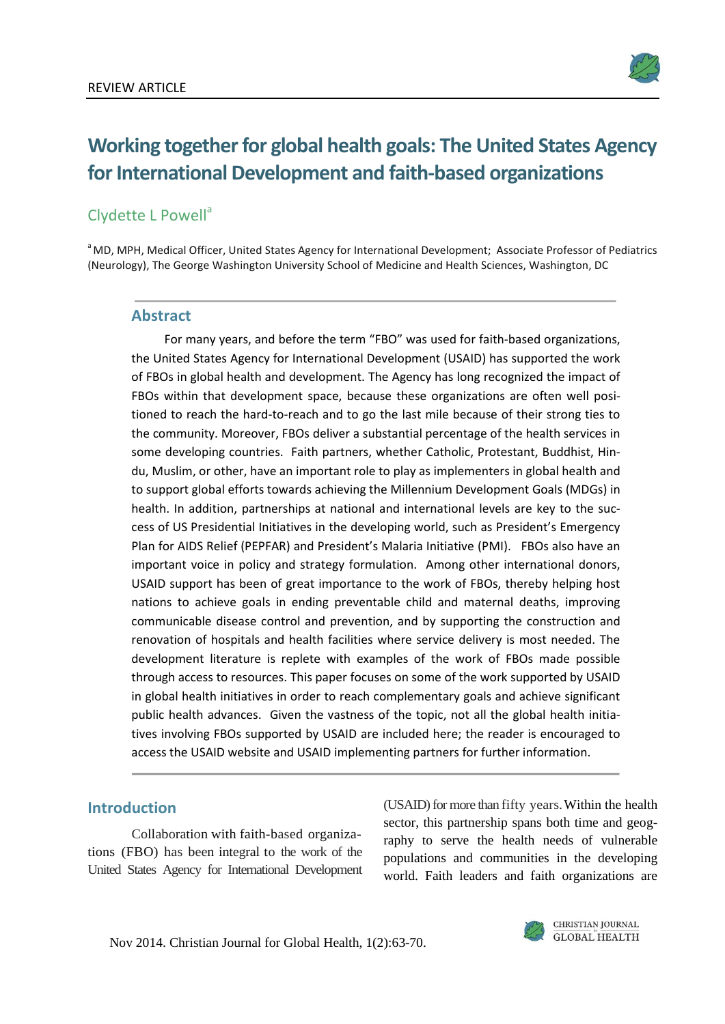

# **Working together for global health goals: The United States Agency**  for International Development and faith-based organizations

## Clydette L Powell<sup>a</sup>

<sup>a</sup> MD, MPH, Medical Officer, United States Agency for International Development; Associate Professor of Pediatrics (Neurology), The George Washington University School of Medicine and Health Sciences, Washington, DC

#### **Abstract**

For many years, and before the term "FBO" was used for faith-based organizations, the United States Agency for International Development (USAID) has supported the work of FBOs in global health and development. The Agency has long recognized the impact of FBOs within that development space, because these organizations are often well positioned to reach the hard-to-reach and to go the last mile because of their strong ties to the community. Moreover, FBOs deliver a substantial percentage of the health services in some developing countries. Faith partners, whether Catholic, Protestant, Buddhist, Hindu, Muslim, or other, have an important role to play as implementers in global health and to support global efforts towards achieving the Millennium Development Goals (MDGs) in health. In addition, partnerships at national and international levels are key to the success of US Presidential Initiatives in the developing world, such as President's Emergency Plan for AIDS Relief (PEPFAR) and President's Malaria Initiative (PMI). FBOs also have an important voice in policy and strategy formulation. Among other international donors, USAID support has been of great importance to the work of FBOs, thereby helping host nations to achieve goals in ending preventable child and maternal deaths, improving communicable disease control and prevention, and by supporting the construction and renovation of hospitals and health facilities where service delivery is most needed. The development literature is replete with examples of the work of FBOs made possible through access to resources. This paper focuses on some of the work supported by USAID in global health initiatives in order to reach complementary goals and achieve significant public health advances. Given the vastness of the topic, not all the global health initiatives involving FBOs supported by USAID are included here; the reader is encouraged to access the USAID website and USAID implementing partners for further information.

#### **Introduction**

Collaboration with faith-based organizations (FBO) has been integral to the work of the United States Agency for International Development

(USAID) for more than fifty years.Within the health sector, this partnership spans both time and geography to serve the health needs of vulnerable populations and communities in the developing world. Faith leaders and faith organizations are

Nov 2014. Christian Journal for Global Health, 1(2):63-70.

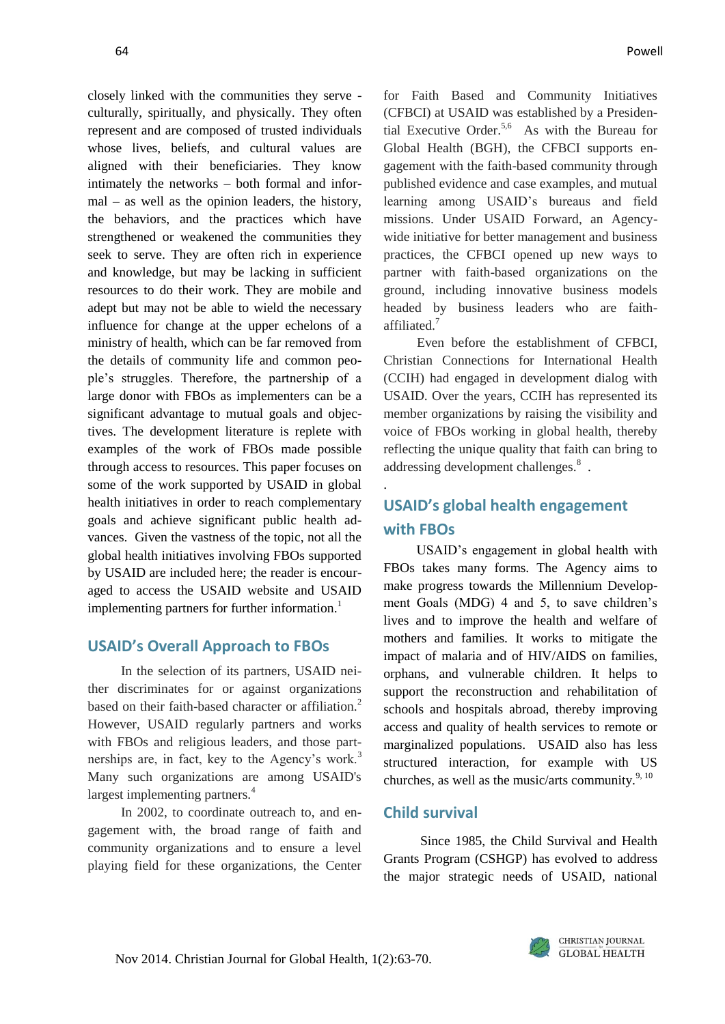closely linked with the communities they serve culturally, spiritually, and physically. They often represent and are composed of trusted individuals whose lives, beliefs, and cultural values are aligned with their beneficiaries. They know intimately the networks – both formal and informal – as well as the opinion leaders, the history, the behaviors, and the practices which have strengthened or weakened the communities they seek to serve. They are often rich in experience and knowledge, but may be lacking in sufficient resources to do their work. They are mobile and adept but may not be able to wield the necessary influence for change at the upper echelons of a ministry of health, which can be far removed from the details of community life and common people's struggles. Therefore, the partnership of a large donor with FBOs as implementers can be a significant advantage to mutual goals and objectives. The development literature is replete with examples of the work of FBOs made possible through access to resources. This paper focuses on some of the work supported by USAID in global health initiatives in order to reach complementary goals and achieve significant public health advances. Given the vastness of the topic, not all the global health initiatives involving FBOs supported by USAID are included here; the reader is encouraged to access the USAID website and USAID implementing partners for further information.<sup>1</sup>

#### **USAID's Overall Approach to FBOs**

In the selection of its partners, USAID neither discriminates for or against organizations based on their faith-based character or affiliation.<sup>2</sup> However, USAID regularly partners and works with FBOs and religious leaders, and those partnerships are, in fact, key to the Agency's work.<sup>3</sup> Many such organizations are among USAID's largest implementing partners.<sup>4</sup>

In 2002, to coordinate outreach to, and engagement with, the broad range of faith and community organizations and to ensure a level playing field for these organizations, the Center

for Faith Based and Community Initiatives (CFBCI) at USAID was established by a Presidential Executive Order.<sup>5,6</sup> As with the Bureau for Global Health (BGH), the CFBCI supports engagement with the faith-based community through published evidence and case examples, and mutual learning among USAID's bureaus and field missions. Under USAID Forward, an Agencywide initiative for better management and business practices, the CFBCI opened up new ways to partner with faith-based organizations on the ground, including innovative business models headed by business leaders who are faithaffiliated.<sup>7</sup>

Even before the establishment of CFBCI, Christian Connections for International Health (CCIH) had engaged in development dialog with USAID. Over the years, CCIH has represented its member organizations by raising the visibility and voice of FBOs working in global health, thereby reflecting the unique quality that faith can bring to addressing development challenges.<sup>8</sup>.

## **USAID's global health engagement with FBOs**

USAID's engagement in global health with FBOs takes many forms. The Agency aims to make progress towards the Millennium Development Goals (MDG) 4 and 5, to save children's lives and to improve the health and welfare of mothers and families. It works to mitigate the impact of malaria and of HIV/AIDS on families, orphans, and vulnerable children. It helps to support the reconstruction and rehabilitation of schools and hospitals abroad, thereby improving access and quality of health services to remote or marginalized populations. USAID also has less structured interaction, for example with US churches, as well as the music/arts community.  $9,10$ 

#### **Child survival**

.

Since 1985, the Child Survival and Health Grants Program (CSHGP) has evolved to address the major strategic needs of USAID, national

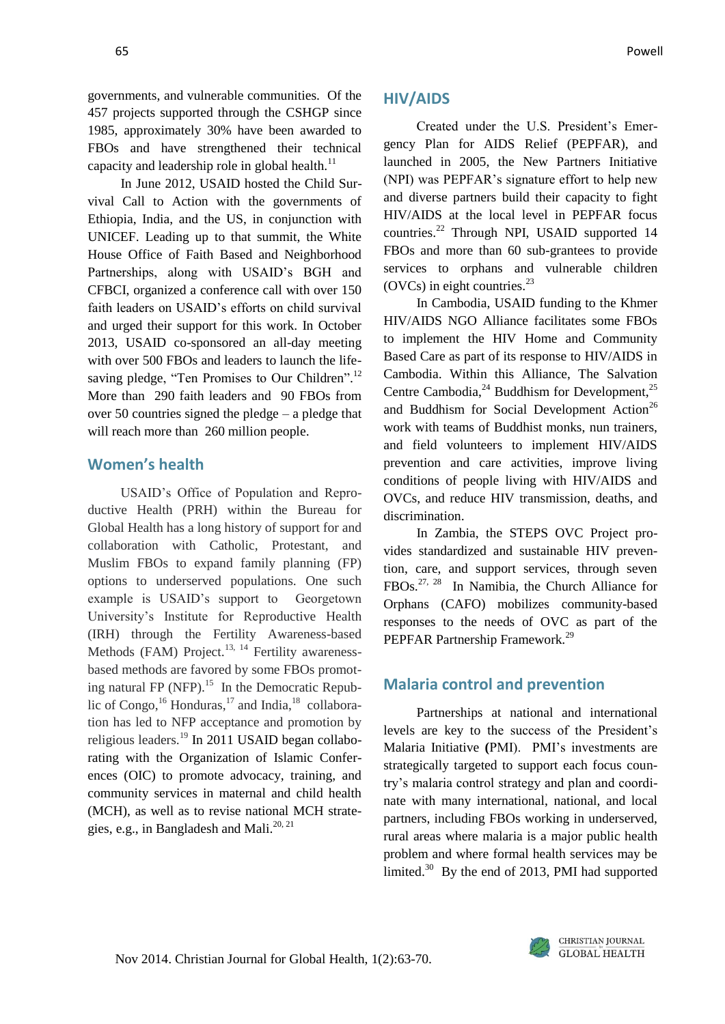governments, and vulnerable communities. Of the 457 projects supported through the CSHGP since 1985, approximately 30% have been awarded to FBOs and have strengthened their technical capacity and leadership role in global health. $^{11}$ 

In June 2012, USAID hosted the Child Survival Call to Action with the governments of Ethiopia, India, and the US, in conjunction with UNICEF. Leading up to that summit, the White House Office of Faith Based and Neighborhood Partnerships, along with USAID's BGH and CFBCI, organized a conference call with over 150 faith leaders on USAID's efforts on child survival and urged their support for this work. In October 2013, USAID co-sponsored an all-day meeting with over 500 FBOs and leaders to launch the lifesaving pledge, "Ten Promises to Our Children".<sup>12</sup> More than 290 faith leaders and 90 FBOs from over 50 countries signed the pledge – a pledge that will reach more than 260 million people.

### **Women's health**

USAID's Office of Population and Reproductive Health (PRH) within the Bureau for Global Health has a long history of support for and collaboration with Catholic, Protestant, and Muslim FBOs to expand family planning (FP) options to underserved populations. One such example is USAID's support to Georgetown University's Institute for Reproductive Health (IRH) through the Fertility Awareness-based Methods (FAM) Project.<sup>13, 14</sup> Fertility awarenessbased methods are favored by some FBOs promoting natural FP (NFP). $^{15}$  In the Democratic Republic of Congo,  $^{16}$  Honduras,  $^{17}$  and India,  $^{18}$  collaboration has led to NFP acceptance and promotion by religious leaders.<sup>19</sup> In 2011 USAID began collaborating with the Organization of Islamic Conferences (OIC) to promote advocacy, training, and community services in maternal and child health (MCH), as well as to revise national MCH strategies, e.g., in Bangladesh and Mali. $^{20, 21}$ 

#### **HIV/AIDS**

Created under the U.S. President's Emergency Plan for AIDS Relief (PEPFAR), and launched in 2005, the New Partners Initiative (NPI) was PEPFAR's signature effort to help new and diverse partners build their capacity to fight HIV/AIDS at the local level in PEPFAR focus countries.<sup>22</sup> Through NPI, USAID supported 14 FBOs and more than 60 sub-grantees to provide services to orphans and vulnerable children (OVCs) in eight countries. $^{23}$ 

In Cambodia, USAID funding to the Khmer HIV/AIDS NGO Alliance facilitates some FBOs to implement the HIV Home and Community Based Care as part of its response to HIV/AIDS in Cambodia. Within this Alliance, The Salvation Centre Cambodia, $^{24}$  Buddhism for Development, $^{25}$ and Buddhism for Social Development Action<sup>26</sup> work with teams of Buddhist monks, nun trainers, and field volunteers to implement HIV/AIDS prevention and care activities, improve living conditions of people living with HIV/AIDS and OVCs, and reduce HIV transmission, deaths, and discrimination.

In Zambia, the STEPS OVC Project provides standardized and sustainable HIV prevention, care, and support services, through seven FBOs.<sup>27, 28</sup> In Namibia, the Church Alliance for Orphans (CAFO) mobilizes community-based responses to the needs of OVC as part of the PEPFAR Partnership Framework.<sup>29</sup>

#### **Malaria control and prevention**

Partnerships at national and international levels are key to the success of the President's Malaria Initiative **(**PMI). PMI's investments are strategically targeted to support each focus country's malaria control strategy and plan and coordinate with many international, national, and local partners, including FBOs working in underserved, rural areas where malaria is a major public health problem and where formal health services may be limited. $30$  By the end of 2013, PMI had supported

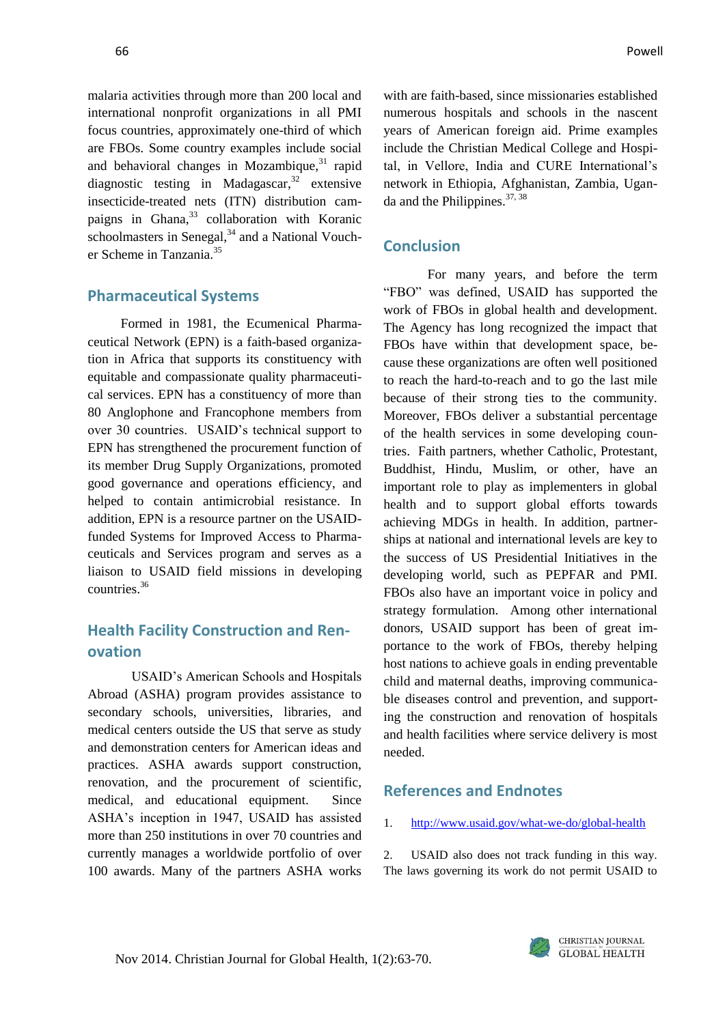malaria activities through more than 200 local and international nonprofit organizations in all PMI focus countries, approximately one-third of which are FBOs. Some country examples include social and behavioral changes in Mozambique, $31$  rapid diagnostic testing in Madagascar,  $32$  extensive insecticide-treated nets (ITN) distribution campaigns in Ghana, $33$  collaboration with Koranic schoolmasters in Senegal, $34$  and a National Voucher Scheme in Tanzania<sup>35</sup>

#### **Pharmaceutical Systems**

Formed in 1981, the Ecumenical Pharmaceutical Network (EPN) is a faith-based organization in Africa that supports its constituency with equitable and compassionate quality pharmaceutical services. EPN has a constituency of more than 80 Anglophone and Francophone members from over 30 countries. USAID's technical support to EPN has strengthened the procurement function of its member Drug Supply Organizations, promoted good governance and operations efficiency, and helped to contain antimicrobial resistance. In addition, EPN is a resource partner on the USAIDfunded Systems for Improved Access to Pharmaceuticals and Services program and serves as a liaison to USAID field missions in developing countries.<sup>36</sup>

### **Health Facility Construction and Renovation**

USAID's American Schools and Hospitals Abroad (ASHA) program provides assistance to secondary schools, universities, libraries, and medical centers outside the US that serve as study and demonstration centers for American ideas and practices. ASHA awards support construction, renovation, and the procurement of scientific, medical, and educational equipment. Since ASHA's inception in 1947, USAID has assisted more than 250 institutions in over 70 countries and currently manages a worldwide portfolio of over 100 awards. Many of the partners ASHA works

with are faith-based, since missionaries established numerous hospitals and schools in the nascent years of American foreign aid. Prime examples include the Christian Medical College and Hospital, in Vellore, India and CURE International's network in Ethiopia, Afghanistan, Zambia, Uganda and the Philippines.  $37, 38$ 

#### **Conclusion**

For many years, and before the term "FBO" was defined, USAID has supported the work of FBOs in global health and development. The Agency has long recognized the impact that FBOs have within that development space, because these organizations are often well positioned to reach the hard-to-reach and to go the last mile because of their strong ties to the community. Moreover, FBOs deliver a substantial percentage of the health services in some developing countries. Faith partners, whether Catholic, Protestant, Buddhist, Hindu, Muslim, or other, have an important role to play as implementers in global health and to support global efforts towards achieving MDGs in health. In addition, partnerships at national and international levels are key to the success of US Presidential Initiatives in the developing world, such as PEPFAR and PMI. FBOs also have an important voice in policy and strategy formulation. Among other international donors, USAID support has been of great importance to the work of FBOs, thereby helping host nations to achieve goals in ending preventable child and maternal deaths, improving communicable diseases control and prevention, and supporting the construction and renovation of hospitals and health facilities where service delivery is most needed.

#### **References and Endnotes**

1. <http://www.usaid.gov/what-we-do/global-health>

2. USAID also does not track funding in this way. The laws governing its work do not permit USAID to

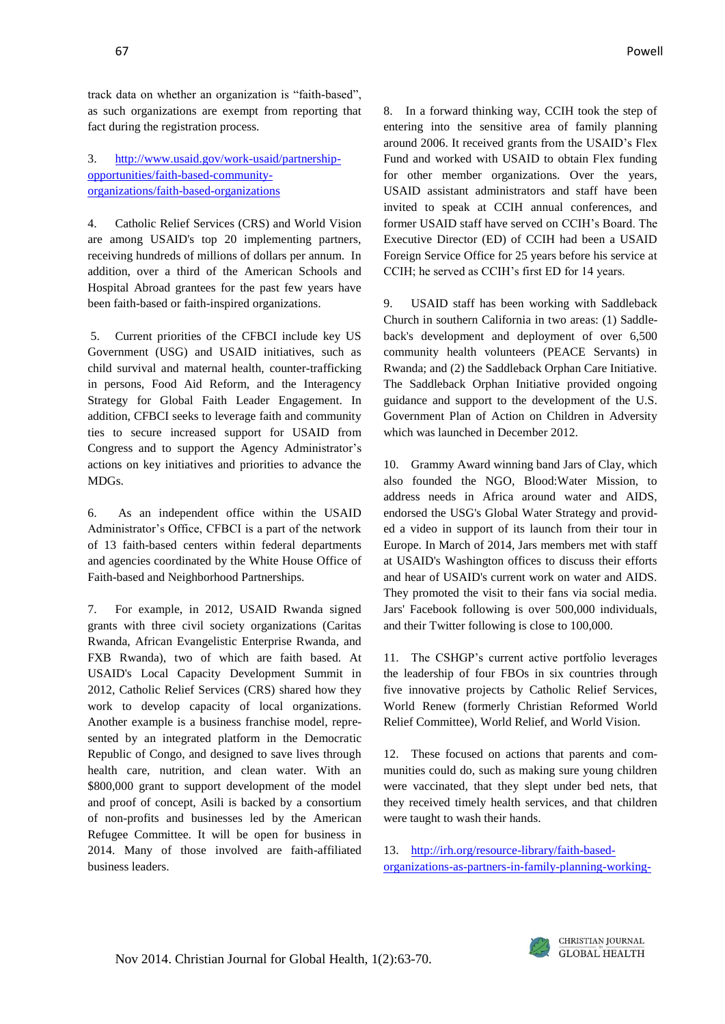track data on whether an organization is "faith-based", as such organizations are exempt from reporting that fact during the registration process.

#### 3. [http://www.usaid.gov/work-usaid/partnership](http://www.usaid.gov/work-usaid/partnership-opportunities/faith-based-community-organizations/faith-based-organizations)[opportunities/faith-based-community](http://www.usaid.gov/work-usaid/partnership-opportunities/faith-based-community-organizations/faith-based-organizations)[organizations/faith-based-organizations](http://www.usaid.gov/work-usaid/partnership-opportunities/faith-based-community-organizations/faith-based-organizations)

4. Catholic Relief Services (CRS) and World Vision are among USAID's top 20 implementing partners, receiving hundreds of millions of dollars per annum. In addition, over a third of the American Schools and Hospital Abroad grantees for the past few years have been faith-based or faith-inspired organizations.

5. Current priorities of the CFBCI include key US Government (USG) and USAID initiatives, such as child survival and maternal health, counter-trafficking in persons, Food Aid Reform, and the Interagency Strategy for Global Faith Leader Engagement. In addition, CFBCI seeks to leverage faith and community ties to secure increased support for USAID from Congress and to support the Agency Administrator's actions on key initiatives and priorities to advance the MDGs.

6. As an independent office within the USAID Administrator's Office, CFBCI is a part of the network of 13 faith-based centers within federal departments and agencies coordinated by the White House Office of Faith-based and Neighborhood Partnerships.

7. For example, in 2012, USAID Rwanda signed grants with three civil society organizations (Caritas Rwanda, African Evangelistic Enterprise Rwanda, and FXB Rwanda), two of which are faith based. At USAID's Local Capacity Development Summit in 2012, Catholic Relief Services (CRS) shared how they work to develop capacity of local organizations. Another example is a business franchise model, represented by an integrated platform in the Democratic Republic of Congo, and designed to save lives through health care, nutrition, and clean water. With an \$800,000 grant to support development of the model and proof of concept, Asili is backed by a consortium of non-profits and businesses led by the American Refugee Committee. It will be open for business in 2014. Many of those involved are faith-affiliated business leaders.

8. In a forward thinking way, CCIH took the step of entering into the sensitive area of family planning around 2006. It received grants from the USAID's Flex Fund and worked with USAID to obtain Flex funding for other member organizations. Over the years, USAID assistant administrators and staff have been invited to speak at CCIH annual conferences, and former USAID staff have served on CCIH's Board. The Executive Director (ED) of CCIH had been a USAID Foreign Service Office for 25 years before his service at CCIH; he served as CCIH's first ED for 14 years.

9. USAID staff has been working with Saddleback Church in southern California in two areas: (1) Saddleback's development and deployment of over 6,500 community health volunteers (PEACE Servants) in Rwanda; and (2) the Saddleback Orphan Care Initiative. The Saddleback Orphan Initiative provided ongoing guidance and support to the development of the U.S. Government Plan of Action on Children in Adversity which was launched in December 2012.

10. Grammy Award winning band Jars of Clay, which also founded the NGO, Blood:Water Mission, to address needs in Africa around water and AIDS, endorsed the USG's Global Water Strategy and provided a video in support of its launch from their tour in Europe. In March of 2014, Jars members met with staff at USAID's Washington offices to discuss their efforts and hear of USAID's current work on water and AIDS. They promoted the visit to their fans via social media. Jars' Facebook following is over 500,000 individuals, and their Twitter following is close to 100,000.

11. The CSHGP's current active portfolio leverages the leadership of four FBOs in six countries through five innovative projects by Catholic Relief Services, World Renew (formerly Christian Reformed World Relief Committee), World Relief, and World Vision.

12. These focused on actions that parents and communities could do, such as making sure young children were vaccinated, that they slept under bed nets, that they received timely health services, and that children were taught to wash their hands.

13. [http://irh.org/resource-library/faith-based](http://irh.org/resource-library/faith-based-organizations-as-partners-in-family-planning-working-together-to-improve-family-well-being/)[organizations-as-partners-in-family-planning-working-](http://irh.org/resource-library/faith-based-organizations-as-partners-in-family-planning-working-together-to-improve-family-well-being/)

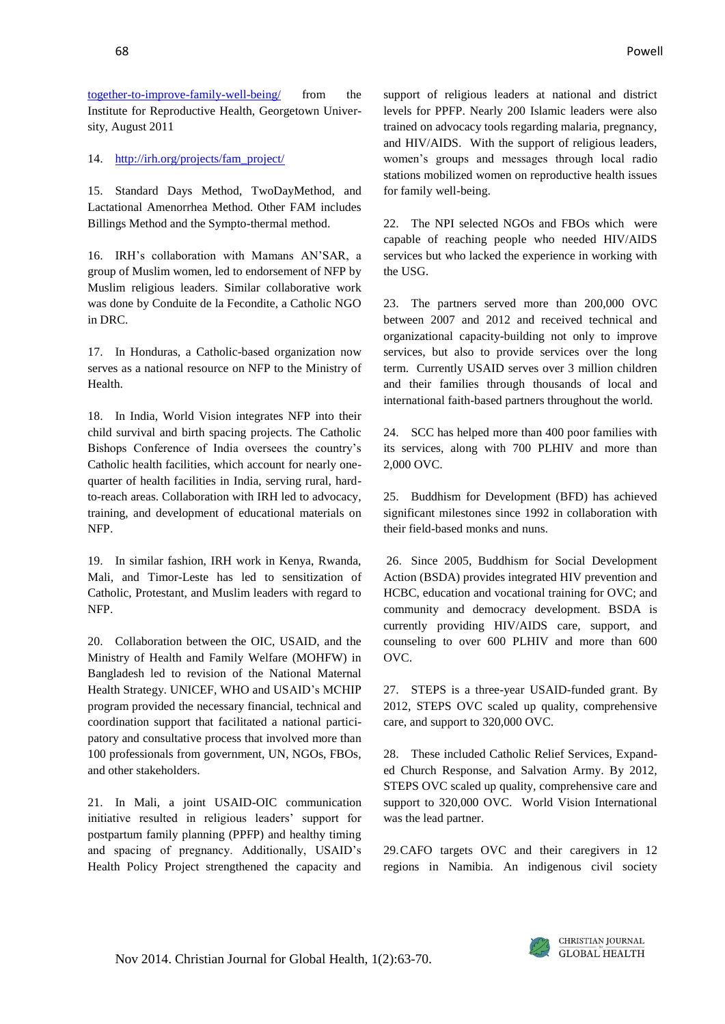[together-to-improve-family-well-being/](http://irh.org/resource-library/faith-based-organizations-as-partners-in-family-planning-working-together-to-improve-family-well-being/) from the Institute for Reproductive Health, Georgetown University, August 2011

14. [http://irh.org/projects/fam\\_project/](http://irh.org/projects/fam_project/)

15. Standard Days Method, TwoDayMethod, and Lactational Amenorrhea Method. Other FAM includes Billings Method and the Sympto-thermal method.

16. IRH's collaboration with Mamans AN'SAR, a group of Muslim women, led to endorsement of NFP by Muslim religious leaders. Similar collaborative work was done by Conduite de la Fecondite, a Catholic NGO in DRC.

17. In Honduras, a Catholic-based organization now serves as a national resource on NFP to the Ministry of Health.

18. In India, World Vision integrates NFP into their child survival and birth spacing projects. The Catholic Bishops Conference of India oversees the country's Catholic health facilities, which account for nearly onequarter of health facilities in India, serving rural, hardto-reach areas. Collaboration with IRH led to advocacy, training, and development of educational materials on NFP.

19. In similar fashion, IRH work in Kenya, Rwanda, Mali, and Timor-Leste has led to sensitization of Catholic, Protestant, and Muslim leaders with regard to NFP.

20. Collaboration between the OIC, USAID, and the Ministry of Health and Family Welfare (MOHFW) in Bangladesh led to revision of the National Maternal Health Strategy. UNICEF, WHO and USAID's MCHIP program provided the necessary financial, technical and coordination support that facilitated a national participatory and consultative process that involved more than 100 professionals from government, UN, NGOs, FBOs, and other stakeholders.

21. In Mali, a joint USAID-OIC communication initiative resulted in religious leaders' support for postpartum family planning (PPFP) and healthy timing and spacing of pregnancy. Additionally, USAID's Health Policy Project strengthened the capacity and

support of religious leaders at national and district levels for PPFP. Nearly 200 Islamic leaders were also trained on advocacy tools regarding malaria, pregnancy, and HIV/AIDS. With the support of religious leaders, women's groups and messages through local radio stations mobilized women on reproductive health issues for family well-being.

22. The NPI selected NGOs and FBOs which were capable of reaching people who needed HIV/AIDS services but who lacked the experience in working with the USG.

23. The partners served more than 200,000 OVC between 2007 and 2012 and received technical and organizational capacity-building not only to improve services, but also to provide services over the long term. Currently USAID serves over 3 million children and their families through thousands of local and international faith-based partners throughout the world.

24. SCC has helped more than 400 poor families with its services, along with 700 PLHIV and more than 2,000 OVC.

25. Buddhism for Development (BFD) has achieved significant milestones since 1992 in collaboration with their field-based monks and nuns.

26. Since 2005, Buddhism for Social Development Action (BSDA) provides integrated HIV prevention and HCBC, education and vocational training for OVC; and community and democracy development. BSDA is currently providing HIV/AIDS care, support, and counseling to over 600 PLHIV and more than 600 OVC.

27. STEPS is a three-year USAID-funded grant. By 2012, STEPS OVC scaled up quality, comprehensive care, and support to 320,000 OVC.

28. These included Catholic Relief Services, Expanded Church Response, and Salvation Army. By 2012, STEPS OVC scaled up quality, comprehensive care and support to 320,000 OVC. World Vision International was the lead partner.

29.CAFO targets OVC and their caregivers in 12 regions in Namibia. An indigenous civil society

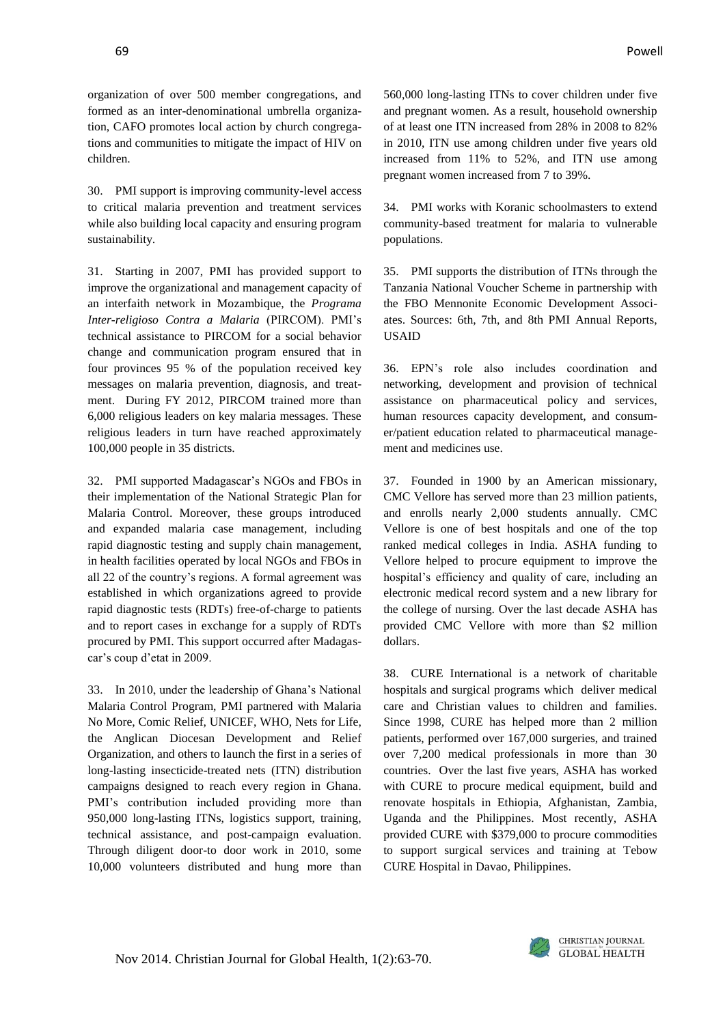organization of over 500 member congregations, and formed as an inter-denominational umbrella organization, CAFO promotes local action by church congregations and communities to mitigate the impact of HIV on children.

30. PMI support is improving community-level access to critical malaria prevention and treatment services while also building local capacity and ensuring program sustainability.

31. Starting in 2007, PMI has provided support to improve the organizational and management capacity of an interfaith network in Mozambique, the *Programa Inter-religioso Contra a Malaria* (PIRCOM). PMI's technical assistance to PIRCOM for a social behavior change and communication program ensured that in four provinces 95 % of the population received key messages on malaria prevention, diagnosis, and treatment. During FY 2012, PIRCOM trained more than 6,000 religious leaders on key malaria messages. These religious leaders in turn have reached approximately 100,000 people in 35 districts.

32. PMI supported Madagascar's NGOs and FBOs in their implementation of the National Strategic Plan for Malaria Control. Moreover, these groups introduced and expanded malaria case management, including rapid diagnostic testing and supply chain management, in health facilities operated by local NGOs and FBOs in all 22 of the country's regions. A formal agreement was established in which organizations agreed to provide rapid diagnostic tests (RDTs) free-of-charge to patients and to report cases in exchange for a supply of RDTs procured by PMI. This support occurred after Madagascar's coup d'etat in 2009.

33. In 2010, under the leadership of Ghana's National Malaria Control Program, PMI partnered with Malaria No More, Comic Relief, UNICEF, WHO, Nets for Life, the Anglican Diocesan Development and Relief Organization, and others to launch the first in a series of long-lasting insecticide-treated nets (ITN) distribution campaigns designed to reach every region in Ghana. PMI's contribution included providing more than 950,000 long-lasting ITNs, logistics support, training, technical assistance, and post-campaign evaluation. Through diligent door-to door work in 2010, some 10,000 volunteers distributed and hung more than

560,000 long-lasting ITNs to cover children under five and pregnant women. As a result, household ownership of at least one ITN increased from 28% in 2008 to 82% in 2010, ITN use among children under five years old increased from 11% to 52%, and ITN use among pregnant women increased from 7 to 39%.

34. PMI works with Koranic schoolmasters to extend community-based treatment for malaria to vulnerable populations.

35. PMI supports the distribution of ITNs through the Tanzania National Voucher Scheme in partnership with the FBO Mennonite Economic Development Associates. Sources: 6th, 7th, and 8th PMI Annual Reports, USAID

36. EPN's role also includes coordination and networking, development and provision of technical assistance on pharmaceutical policy and services, human resources capacity development, and consumer/patient education related to pharmaceutical management and medicines use.

37. Founded in 1900 by an American missionary, CMC Vellore has served more than 23 million patients, and enrolls nearly 2,000 students annually. CMC Vellore is one of best hospitals and one of the top ranked medical colleges in India. ASHA funding to Vellore helped to procure equipment to improve the hospital's efficiency and quality of care, including an electronic medical record system and a new library for the college of nursing. Over the last decade ASHA has provided CMC Vellore with more than \$2 million dollars.

38. CURE International is a network of charitable hospitals and surgical programs which deliver medical care and Christian values to children and families. Since 1998, CURE has helped more than 2 million patients, performed over 167,000 surgeries, and trained over 7,200 medical professionals in more than 30 countries. Over the last five years, ASHA has worked with CURE to procure medical equipment, build and renovate hospitals in Ethiopia, Afghanistan, Zambia, Uganda and the Philippines. Most recently, ASHA provided CURE with \$379,000 to procure commodities to support surgical services and training at Tebow CURE Hospital in Davao, Philippines.